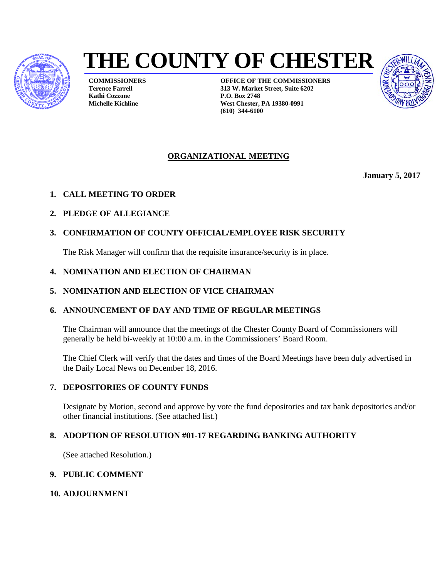

# **THE COUNTY OF CHESTER**

**COMMISSIONERS Terence Farrell Kathi Cozzone Michelle Kichline**

**OFFICE OF THE COMMISSIONERS 313 W. Market Street, Suite 6202 P.O. Box 2748 West Chester, PA 19380-0991 (610) 344-6100**



#### **ORGANIZATIONAL MEETING**

**January 5, 2017** 

- **1. CALL MEETING TO ORDER**
- **2. PLEDGE OF ALLEGIANCE**

#### **3. CONFIRMATION OF COUNTY OFFICIAL/EMPLOYEE RISK SECURITY**

The Risk Manager will confirm that the requisite insurance/security is in place.

- **4. NOMINATION AND ELECTION OF CHAIRMAN**
- **5. NOMINATION AND ELECTION OF VICE CHAIRMAN**

#### **6. ANNOUNCEMENT OF DAY AND TIME OF REGULAR MEETINGS**

The Chairman will announce that the meetings of the Chester County Board of Commissioners will generally be held bi-weekly at 10:00 a.m. in the Commissioners' Board Room.

The Chief Clerk will verify that the dates and times of the Board Meetings have been duly advertised in the Daily Local News on December 18, 2016.

#### **7. DEPOSITORIES OF COUNTY FUNDS**

Designate by Motion, second and approve by vote the fund depositories and tax bank depositories and/or other financial institutions. (See attached list.)

#### **8. ADOPTION OF RESOLUTION #01-17 REGARDING BANKING AUTHORITY**

(See attached Resolution.)

#### **9. PUBLIC COMMENT**

#### **10. ADJOURNMENT**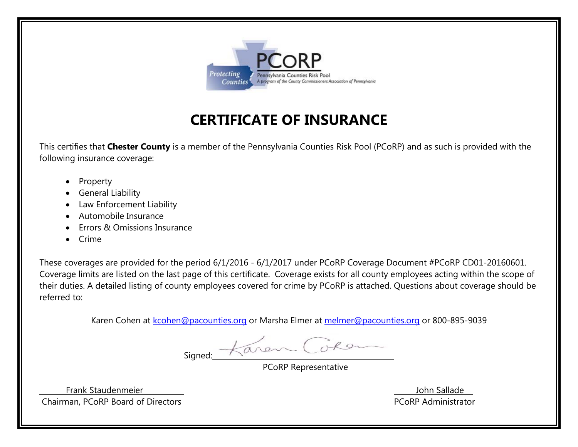

## **CERTIFICATE OF INSURANCE**

This certifies that **Chester County** is a member of the Pennsylvania Counties Risk Pool (PCoRP) and as such is provided with the following insurance coverage:

- . Property
- 0 General Liability
- $\bullet$ Law Enforcement Liability
- . Automobile Insurance
- 0 Errors & Omissions Insurance
- . Crime

These coverages are provided for the period 6/1/2016 - 6/1/2017 under PCoRP Coverage Document #PCoRP CD01-20160601. Coverage limits are listed on the last page of this certificate. Coverage exists for all county employees acting within the scope of their duties. A detailed listing of county employees covered for crime by PCoRP is attached. Questions about coverage should be referred to:

Karen Cohen at kcohen@pacounties.org or Marsha Elmer at melmer@pacounties.org or 800-895-9039

Signed: Karen Coron

PCoRP Representative

Frank Staudenmeier Chairman, PCoRP Board of Directors **PCoRP Administrator** PCoRP Administrator

John Sallade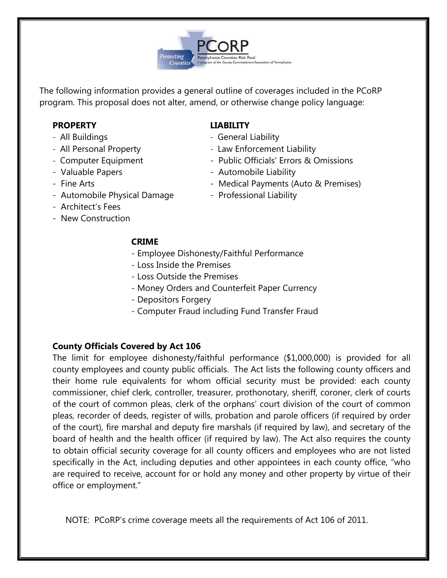

The following information provides a general outline of coverages included in the PCoRP program. This proposal does not alter, amend, or otherwise change policy language:

#### **PROPERTY LIABILITY**

- All Buildings General Liability
- All Personal Property  **All Personal Property** Law Enforcement Liability
- Computer Equipment Public Officials' Errors & Omissions
- Valuable Papers Automobile Liability
- 
- Automobile Physical Damage Professional Liability
- 
- 
- 
- Fine Arts  **Medical Payments (Auto & Premises)** 
	-

- Architect's Fees
- New Construction

#### **CRIME**

- Employee Dishonesty/Faithful Performance
- Loss Inside the Premises
- Loss Outside the Premises
- Money Orders and Counterfeit Paper Currency
- Depositors Forgery
- Computer Fraud including Fund Transfer Fraud

#### **County Officials Covered by Act 106**

The limit for employee dishonesty/faithful performance (\$1,000,000) is provided for all county employees and county public officials. The Act lists the following county officers and their home rule equivalents for whom official security must be provided: each county commissioner, chief clerk, controller, treasurer, prothonotary, sheriff, coroner, clerk of courts of the court of common pleas, clerk of the orphans' court division of the court of common pleas, recorder of deeds, register of wills, probation and parole officers (if required by order of the court), fire marshal and deputy fire marshals (if required by law), and secretary of the board of health and the health officer (if required by law). The Act also requires the county to obtain official security coverage for all county officers and employees who are not listed specifically in the Act, including deputies and other appointees in each county office, "who are required to receive, account for or hold any money and other property by virtue of their office or employment."

NOTE: PCoRP's crime coverage meets all the requirements of Act 106 of 2011.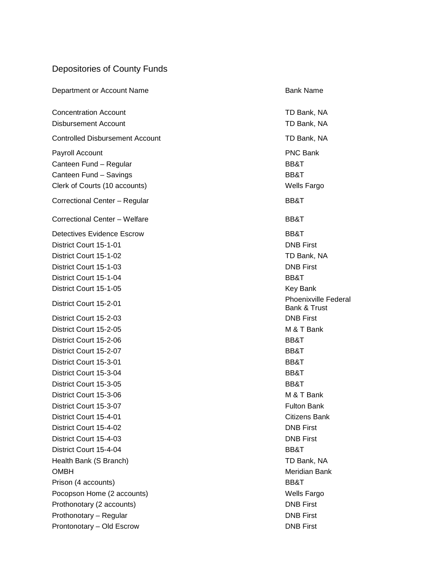### Depositories of County Funds

| Department or Account Name             | <b>Bank Name</b>                            |
|----------------------------------------|---------------------------------------------|
| <b>Concentration Account</b>           | TD Bank, NA                                 |
| <b>Disbursement Account</b>            | TD Bank, NA                                 |
| <b>Controlled Disbursement Account</b> | TD Bank, NA                                 |
| Payroll Account                        | <b>PNC Bank</b>                             |
| Canteen Fund - Regular                 | BB&T                                        |
| Canteen Fund - Savings                 | BB&T                                        |
| Clerk of Courts (10 accounts)          | <b>Wells Fargo</b>                          |
| Correctional Center - Regular          | BB&T                                        |
| Correctional Center - Welfare          | BB&T                                        |
| <b>Detectives Evidence Escrow</b>      | BB&T                                        |
| District Court 15-1-01                 | <b>DNB First</b>                            |
| District Court 15-1-02                 | TD Bank, NA                                 |
| District Court 15-1-03                 | <b>DNB First</b>                            |
| District Court 15-1-04                 | BB&T                                        |
| District Court 15-1-05                 | <b>Key Bank</b>                             |
| District Court 15-2-01                 | <b>Phoenixville Federal</b><br>Bank & Trust |
| District Court 15-2-03                 | <b>DNB First</b>                            |
| District Court 15-2-05                 | M & T Bank                                  |
| District Court 15-2-06                 | BB&T                                        |
| District Court 15-2-07                 | BB&T                                        |
| District Court 15-3-01                 | BB&T                                        |
| District Court 15-3-04                 | BB&T                                        |
| District Court 15-3-05                 | BB&T                                        |
| District Court 15-3-06                 | M & T Bank                                  |
| District Court 15-3-07                 | <b>Fulton Bank</b>                          |
| District Court 15-4-01                 | <b>Citizens Bank</b>                        |
| District Court 15-4-02                 | <b>DNB First</b>                            |
| District Court 15-4-03                 | <b>DNB First</b>                            |
| District Court 15-4-04                 | BB&T                                        |
| Health Bank (S Branch)                 | TD Bank, NA                                 |
| <b>OMBH</b>                            | Meridian Bank                               |
| Prison (4 accounts)                    | BB&T                                        |
| Pocopson Home (2 accounts)             | Wells Fargo                                 |
| Prothonotary (2 accounts)              | <b>DNB First</b>                            |
| Prothonotary - Regular                 | <b>DNB First</b>                            |
| Prontonotary - Old Escrow              | <b>DNB First</b>                            |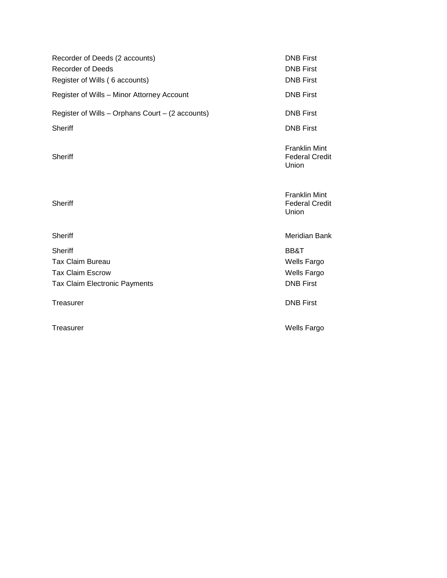| Recorder of Deeds (2 accounts)<br><b>Recorder of Deeds</b><br>Register of Wills (6 accounts) | <b>DNB First</b><br><b>DNB First</b><br><b>DNB First</b> |
|----------------------------------------------------------------------------------------------|----------------------------------------------------------|
| Register of Wills - Minor Attorney Account                                                   | <b>DNB First</b>                                         |
| Register of Wills - Orphans Court - (2 accounts)                                             | <b>DNB First</b>                                         |
| Sheriff                                                                                      | <b>DNB First</b>                                         |
| <b>Sheriff</b>                                                                               | <b>Franklin Mint</b><br><b>Federal Credit</b><br>Union   |
| <b>Sheriff</b>                                                                               | <b>Franklin Mint</b><br><b>Federal Credit</b><br>Union   |
| <b>Sheriff</b>                                                                               | Meridian Bank                                            |
| <b>Sheriff</b>                                                                               | BB&T                                                     |
| <b>Tax Claim Bureau</b>                                                                      | <b>Wells Fargo</b>                                       |
| <b>Tax Claim Escrow</b>                                                                      | <b>Wells Fargo</b>                                       |
| <b>Tax Claim Electronic Payments</b>                                                         | <b>DNB First</b>                                         |
| Treasurer                                                                                    | <b>DNB First</b>                                         |

Treasurer **Manufacturer Wells Fargo Wells Fargo**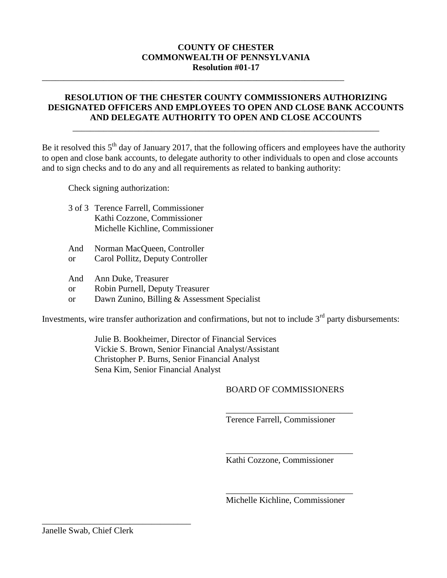#### **COUNTY OF CHESTER COMMONWEALTH OF PENNSYLVANIA Resolution #01-17**

\_\_\_\_\_\_\_\_\_\_\_\_\_\_\_\_\_\_\_\_\_\_\_\_\_\_\_\_\_\_\_\_\_\_\_\_\_\_\_\_\_\_\_\_\_\_\_\_\_\_\_\_\_\_\_\_\_\_\_\_\_\_\_\_\_\_\_\_\_

#### **RESOLUTION OF THE CHESTER COUNTY COMMISSIONERS AUTHORIZING DESIGNATED OFFICERS AND EMPLOYEES TO OPEN AND CLOSE BANK ACCOUNTS AND DELEGATE AUTHORITY TO OPEN AND CLOSE ACCOUNTS**

\_\_\_\_\_\_\_\_\_\_\_\_\_\_\_\_\_\_\_\_\_\_\_\_\_\_\_\_\_\_\_\_\_\_\_\_\_\_\_\_\_\_\_\_\_\_\_\_\_\_\_\_\_\_\_\_\_\_\_\_\_\_\_\_\_\_\_\_\_\_

Be it resolved this  $5<sup>th</sup>$  day of January 2017, that the following officers and employees have the authority to open and close bank accounts, to delegate authority to other individuals to open and close accounts and to sign checks and to do any and all requirements as related to banking authority:

Check signing authorization:

| 3 of 3 Terence Farrell, Commissioner |
|--------------------------------------|
| Kathi Cozzone, Commissioner          |
| Michelle Kichline, Commissioner      |
|                                      |

- And Norman MacQueen, Controller
- or Carol Pollitz, Deputy Controller
- And Ann Duke, Treasurer
- or Robin Purnell, Deputy Treasurer
- or Dawn Zunino, Billing & Assessment Specialist

Investments, wire transfer authorization and confirmations, but not to include  $3<sup>rd</sup>$  party disbursements:

Julie B. Bookheimer, Director of Financial Services Vickie S. Brown, Senior Financial Analyst/Assistant Christopher P. Burns, Senior Financial Analyst Sena Kim, Senior Financial Analyst

#### BOARD OF COMMISSIONERS

\_\_\_\_\_\_\_\_\_\_\_\_\_\_\_\_\_\_\_\_\_\_\_\_\_\_\_\_\_

\_\_\_\_\_\_\_\_\_\_\_\_\_\_\_\_\_\_\_\_\_\_\_\_\_\_\_\_\_

Terence Farrell, Commissioner

Kathi Cozzone, Commissioner

\_\_\_\_\_\_\_\_\_\_\_\_\_\_\_\_\_\_\_\_\_\_\_\_\_\_\_\_\_ Michelle Kichline, Commissioner

\_\_\_\_\_\_\_\_\_\_\_\_\_\_\_\_\_\_\_\_\_\_\_\_\_\_\_\_\_\_\_\_\_\_